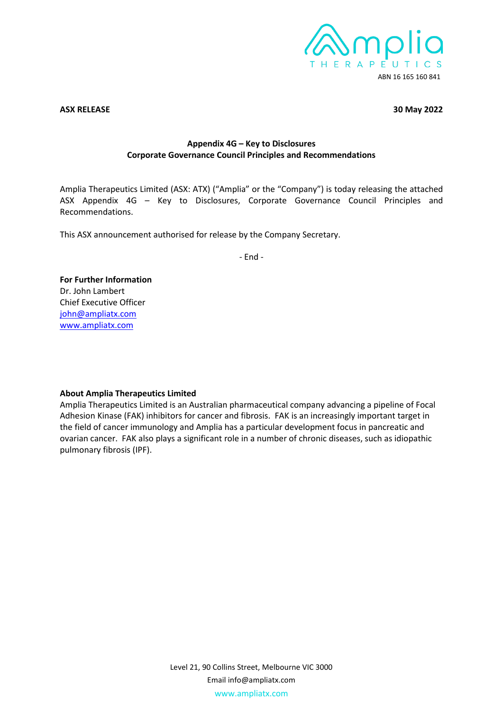

### **ASX RELEASE 30 May 2022**

## **Appendix 4G – Key to Disclosures Corporate Governance Council Principles and Recommendations**

Amplia Therapeutics Limited (ASX: ATX) ("Amplia" or the "Company") is today releasing the attached ASX Appendix 4G – Key to Disclosures, Corporate Governance Council Principles and Recommendations.

This ASX announcement authorised for release by the Company Secretary.

- End -

## **For Further Information** Dr. John Lambert Chief Executive Officer [john@ampliatx.com](mailto:john@ampliatx.com) [www.ampliatx.com](http://www.ampliatx.com/site/content/)

## **About Amplia Therapeutics Limited**

Amplia Therapeutics Limited is an Australian pharmaceutical company advancing a pipeline of Focal Adhesion Kinase (FAK) inhibitors for cancer and fibrosis. FAK is an increasingly important target in the field of cancer immunology and Amplia has a particular development focus in pancreatic and ovarian cancer. FAK also plays a significant role in a number of chronic diseases, such as idiopathic pulmonary fibrosis (IPF).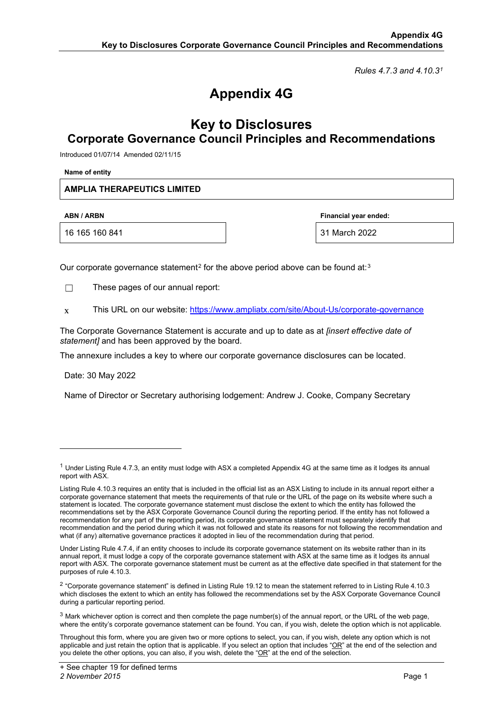*Rules 4.7.3 and 4.10.3[1](#page-1-0)*

# **Appendix 4G**

## **Key to Disclosures Corporate Governance Council Principles and Recommendations**

Introduced 01/07/14 Amended 02/11/15

**Name of entity**

## **AMPLIA THERAPEUTICS LIMITED**

16 165 160 841 31 March 2022

**ABN / ARBN Financial year ended:**

Our corporate governance statement<sup>[2](#page-1-1)</sup> for the above period above can be found at:<sup>[3](#page-1-2)</sup>

☐ These pages of our annual report:

 $x$  This URL on our website: <https://www.ampliatx.com/site/About-Us/corporate-governance>

The Corporate Governance Statement is accurate and up to date as at *[insert effective date of statement]* and has been approved by the board.

The annexure includes a key to where our corporate governance disclosures can be located.

Date: 30 May 2022

Name of Director or Secretary authorising lodgement: Andrew J. Cooke, Company Secretary

<span id="page-1-0"></span> $1$  Under Listing Rule 4.7.3, an entity must lodge with ASX a completed Appendix 4G at the same time as it lodges its annual report with ASX.

Listing Rule 4.10.3 requires an entity that is included in the official list as an ASX Listing to include in its annual report either a corporate governance statement that meets the requirements of that rule or the URL of the page on its website where such a statement is located. The corporate governance statement must disclose the extent to which the entity has followed the recommendations set by the ASX Corporate Governance Council during the reporting period. If the entity has not followed a recommendation for any part of the reporting period, its corporate governance statement must separately identify that recommendation and the period during which it was not followed and state its reasons for not following the recommendation and what (if any) alternative governance practices it adopted in lieu of the recommendation during that period.

Under Listing Rule 4.7.4, if an entity chooses to include its corporate governance statement on its website rather than in its annual report, it must lodge a copy of the corporate governance statement with ASX at the same time as it lodges its annual report with ASX. The corporate governance statement must be current as at the effective date specified in that statement for the purposes of rule 4.10.3.

<span id="page-1-1"></span> $2$  "Corporate governance statement" is defined in Listing Rule 19.12 to mean the statement referred to in Listing Rule 4.10.3 which discloses the extent to which an entity has followed the recommendations set by the ASX Corporate Governance Council during a particular reporting period.

<span id="page-1-2"></span> $3$  Mark whichever option is correct and then complete the page number(s) of the annual report, or the URL of the web page, where the entity's corporate governance statement can be found. You can, if you wish, delete the option which is not applicable.

Throughout this form, where you are given two or more options to select, you can, if you wish, delete any option which is not applicable and just retain the option that is applicable. If you select an option that includes "OR" at the end of the selection and you delete the other options, you can also, if you wish, delete the "OR" at the end of the selection.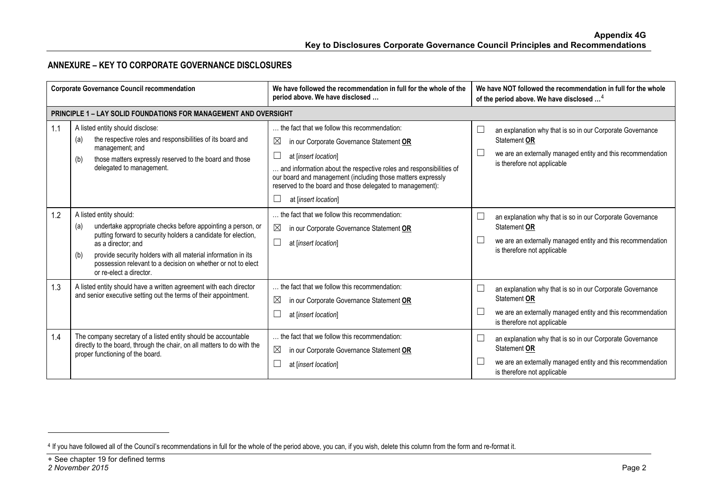## <span id="page-2-0"></span>**ANNEXURE – KEY TO CORPORATE GOVERNANCE DISCLOSURES**

| <b>Corporate Governance Council recommendation</b> |                                                                                                                                                                                                                                                                                                                                                         | We have followed the recommendation in full for the whole of the<br>period above. We have disclosed                                                                                                                                                                                                                                                      | We have NOT followed the recommendation in full for the whole<br>of the period above. We have disclosed <sup>4</sup>                                                              |  |
|----------------------------------------------------|---------------------------------------------------------------------------------------------------------------------------------------------------------------------------------------------------------------------------------------------------------------------------------------------------------------------------------------------------------|----------------------------------------------------------------------------------------------------------------------------------------------------------------------------------------------------------------------------------------------------------------------------------------------------------------------------------------------------------|-----------------------------------------------------------------------------------------------------------------------------------------------------------------------------------|--|
|                                                    | <b>PRINCIPLE 1 - LAY SOLID FOUNDATIONS FOR MANAGEMENT AND OVERSIGHT</b>                                                                                                                                                                                                                                                                                 |                                                                                                                                                                                                                                                                                                                                                          |                                                                                                                                                                                   |  |
| 1.1                                                | A listed entity should disclose:<br>the respective roles and responsibilities of its board and<br>(a)<br>management; and<br>those matters expressly reserved to the board and those<br>(b)<br>delegated to management.                                                                                                                                  | the fact that we follow this recommendation:<br>$\boxtimes$<br>in our Corporate Governance Statement OR<br>at linsert location<br>and information about the respective roles and responsibilities of<br>our board and management (including those matters expressly<br>reserved to the board and those delegated to management):<br>at [insert location] | an explanation why that is so in our Corporate Governance<br>Statement OR<br>we are an externally managed entity and this recommendation<br>is therefore not applicable           |  |
| 1.2                                                | A listed entity should:<br>undertake appropriate checks before appointing a person, or<br>(a)<br>putting forward to security holders a candidate for election,<br>as a director; and<br>provide security holders with all material information in its<br>(b)<br>possession relevant to a decision on whether or not to elect<br>or re-elect a director. | the fact that we follow this recommendation:<br>$\boxtimes$<br>in our Corporate Governance Statement OR<br>$\Box$<br>at [insert location]                                                                                                                                                                                                                | $\Box$<br>an explanation why that is so in our Corporate Governance<br>Statement OR<br>we are an externally managed entity and this recommendation<br>is therefore not applicable |  |
| 1.3                                                | A listed entity should have a written agreement with each director<br>and senior executive setting out the terms of their appointment.                                                                                                                                                                                                                  | the fact that we follow this recommendation:<br>$\boxtimes$<br>in our Corporate Governance Statement OR<br>at [insert location]                                                                                                                                                                                                                          | $\Box$<br>an explanation why that is so in our Corporate Governance<br>Statement OR<br>we are an externally managed entity and this recommendation<br>is therefore not applicable |  |
| 1.4                                                | The company secretary of a listed entity should be accountable<br>directly to the board, through the chair, on all matters to do with the<br>proper functioning of the board.                                                                                                                                                                           | the fact that we follow this recommendation:<br>$\boxtimes$<br>in our Corporate Governance Statement OR<br>at [insert location]                                                                                                                                                                                                                          | an explanation why that is so in our Corporate Governance<br>Statement OR<br>we are an externally managed entity and this recommendation<br>is therefore not applicable           |  |

<sup>4</sup> If you have followed all of the Council's recommendations in full for the whole of the period above, you can, if you wish, delete this column from the form and re-format it.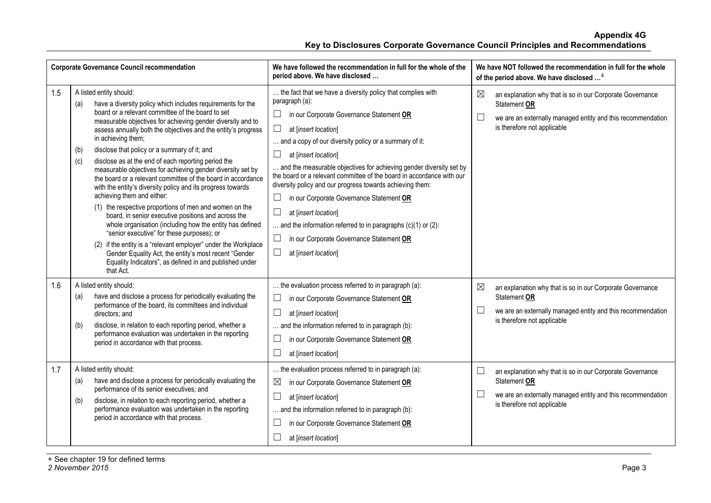| <b>Corporate Governance Council recommendation</b> |                                                                                                                                                                                                                                                                                                                                                                                                                                                                                                                                                                                                                                                                                                                                                                                                                                                                                                                                                                                                                                                                                         | We have followed the recommendation in full for the whole of the<br>period above. We have disclosed                                                                                                                                                                                                                                                                                                                                                                                                                                                                                                                                                                                                                       | We have NOT followed the recommendation in full for the whole<br>of the period above. We have disclosed <sup>4</sup>                                                                        |
|----------------------------------------------------|-----------------------------------------------------------------------------------------------------------------------------------------------------------------------------------------------------------------------------------------------------------------------------------------------------------------------------------------------------------------------------------------------------------------------------------------------------------------------------------------------------------------------------------------------------------------------------------------------------------------------------------------------------------------------------------------------------------------------------------------------------------------------------------------------------------------------------------------------------------------------------------------------------------------------------------------------------------------------------------------------------------------------------------------------------------------------------------------|---------------------------------------------------------------------------------------------------------------------------------------------------------------------------------------------------------------------------------------------------------------------------------------------------------------------------------------------------------------------------------------------------------------------------------------------------------------------------------------------------------------------------------------------------------------------------------------------------------------------------------------------------------------------------------------------------------------------------|---------------------------------------------------------------------------------------------------------------------------------------------------------------------------------------------|
| 1.5                                                | A listed entity should:<br>have a diversity policy which includes requirements for the<br>(a)<br>board or a relevant committee of the board to set<br>measurable objectives for achieving gender diversity and to<br>assess annually both the objectives and the entity's progress<br>in achieving them;<br>disclose that policy or a summary of it; and<br>(b)<br>disclose as at the end of each reporting period the<br>(c)<br>measurable objectives for achieving gender diversity set by<br>the board or a relevant committee of the board in accordance<br>with the entity's diversity policy and its progress towards<br>achieving them and either:<br>(1) the respective proportions of men and women on the<br>board, in senior executive positions and across the<br>whole organisation (including how the entity has defined<br>"senior executive" for these purposes); or<br>(2) if the entity is a "relevant employer" under the Workplace<br>Gender Equality Act, the entity's most recent "Gender<br>Equality Indicators", as defined in and published under<br>that Act. | the fact that we have a diversity policy that complies with<br>paragraph (a):<br>$\Box$<br>in our Corporate Governance Statement OR<br>П<br>at [insert location]<br>and a copy of our diversity policy or a summary of it:<br>$\Box$<br>at [insert location]<br>and the measurable objectives for achieving gender diversity set by<br>the board or a relevant committee of the board in accordance with our<br>diversity policy and our progress towards achieving them:<br>in our Corporate Governance Statement OR<br>⊔<br>$\Box$<br>at [insert location]<br>and the information referred to in paragraphs $(c)(1)$ or $(2)$ :<br>$\Box$<br>in our Corporate Governance Statement OR<br>$\Box$<br>at [insert location] | $\boxtimes$<br>an explanation why that is so in our Corporate Governance<br>Statement OR<br>└<br>we are an externally managed entity and this recommendation<br>is therefore not applicable |
| 1.6                                                | A listed entity should:<br>have and disclose a process for periodically evaluating the<br>(a)<br>performance of the board, its committees and individual<br>directors; and<br>disclose, in relation to each reporting period, whether a<br>(b)<br>performance evaluation was undertaken in the reporting<br>period in accordance with that process.                                                                                                                                                                                                                                                                                                                                                                                                                                                                                                                                                                                                                                                                                                                                     | the evaluation process referred to in paragraph (a):<br>$\sqcup$<br>in our Corporate Governance Statement OR<br>$\Box$<br>at [insert location]<br>and the information referred to in paragraph (b):<br>$\Box$<br>in our Corporate Governance Statement OR<br>$\Box$<br>at [insert location]                                                                                                                                                                                                                                                                                                                                                                                                                               | ⊠<br>an explanation why that is so in our Corporate Governance<br>Statement OR<br>$\Box$<br>we are an externally managed entity and this recommendation<br>is therefore not applicable      |
| 1.7                                                | A listed entity should:<br>have and disclose a process for periodically evaluating the<br>(a)<br>performance of its senior executives; and<br>disclose, in relation to each reporting period, whether a<br>(b)<br>performance evaluation was undertaken in the reporting<br>period in accordance with that process.                                                                                                                                                                                                                                                                                                                                                                                                                                                                                                                                                                                                                                                                                                                                                                     | the evaluation process referred to in paragraph (a):<br>⊠<br>in our Corporate Governance Statement OR<br>П<br>at [insert location]<br>. and the information referred to in paragraph (b):<br>⊔<br>in our Corporate Governance Statement OR<br>at [insert location]                                                                                                                                                                                                                                                                                                                                                                                                                                                        | $\Box$<br>an explanation why that is so in our Corporate Governance<br>Statement OR<br>⊔<br>we are an externally managed entity and this recommendation<br>is therefore not applicable      |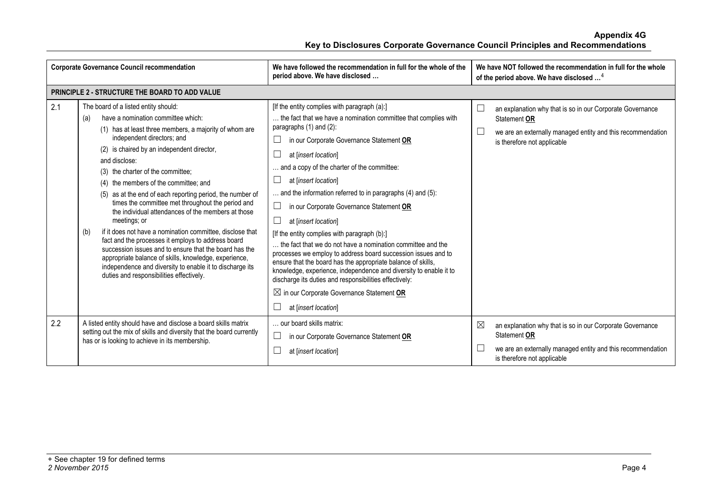| <b>Corporate Governance Council recommendation</b> |                                                                                                                                                                                                                                                                                                                                                                                                                                                                                                                                                                                                                                                                                                                                                                                                                                                                     | We have followed the recommendation in full for the whole of the<br>period above. We have disclosed                                                                                                                                                                                                                                                                                                                                                                                                                                                                                                                                                                                                                                                                                                                                                                                           | We have NOT followed the recommendation in full for the whole<br>of the period above. We have disclosed <sup>4</sup>                                                                        |  |
|----------------------------------------------------|---------------------------------------------------------------------------------------------------------------------------------------------------------------------------------------------------------------------------------------------------------------------------------------------------------------------------------------------------------------------------------------------------------------------------------------------------------------------------------------------------------------------------------------------------------------------------------------------------------------------------------------------------------------------------------------------------------------------------------------------------------------------------------------------------------------------------------------------------------------------|-----------------------------------------------------------------------------------------------------------------------------------------------------------------------------------------------------------------------------------------------------------------------------------------------------------------------------------------------------------------------------------------------------------------------------------------------------------------------------------------------------------------------------------------------------------------------------------------------------------------------------------------------------------------------------------------------------------------------------------------------------------------------------------------------------------------------------------------------------------------------------------------------|---------------------------------------------------------------------------------------------------------------------------------------------------------------------------------------------|--|
|                                                    | PRINCIPLE 2 - STRUCTURE THE BOARD TO ADD VALUE                                                                                                                                                                                                                                                                                                                                                                                                                                                                                                                                                                                                                                                                                                                                                                                                                      |                                                                                                                                                                                                                                                                                                                                                                                                                                                                                                                                                                                                                                                                                                                                                                                                                                                                                               |                                                                                                                                                                                             |  |
| 2.1                                                | The board of a listed entity should:<br>have a nomination committee which:<br>(a)<br>(1) has at least three members, a majority of whom are<br>independent directors; and<br>(2) is chaired by an independent director,<br>and disclose:<br>(3) the charter of the committee;<br>(4) the members of the committee; and<br>(5) as at the end of each reporting period, the number of<br>times the committee met throughout the period and<br>the individual attendances of the members at those<br>meetings; or<br>if it does not have a nomination committee, disclose that<br>(b)<br>fact and the processes it employs to address board<br>succession issues and to ensure that the board has the<br>appropriate balance of skills, knowledge, experience,<br>independence and diversity to enable it to discharge its<br>duties and responsibilities effectively. | [If the entity complies with paragraph (a):]<br>the fact that we have a nomination committee that complies with<br>paragraphs (1) and (2):<br>in our Corporate Governance Statement OR<br>at [insert location]<br>. and a copy of the charter of the committee:<br>at [insert location]<br>ப<br>and the information referred to in paragraphs (4) and (5):<br>in our Corporate Governance Statement OR<br>at [insert location]<br>[If the entity complies with paragraph (b):]<br>the fact that we do not have a nomination committee and the<br>processes we employ to address board succession issues and to<br>ensure that the board has the appropriate balance of skills,<br>knowledge, experience, independence and diversity to enable it to<br>discharge its duties and responsibilities effectively:<br>$\boxtimes$ in our Corporate Governance Statement OR<br>at [insert location] | L<br>an explanation why that is so in our Corporate Governance<br>Statement OR<br>L<br>we are an externally managed entity and this recommendation<br>is therefore not applicable           |  |
| 2.2                                                | A listed entity should have and disclose a board skills matrix<br>setting out the mix of skills and diversity that the board currently<br>has or is looking to achieve in its membership.                                                                                                                                                                                                                                                                                                                                                                                                                                                                                                                                                                                                                                                                           | our board skills matrix:<br>$\sqcup$<br>in our Corporate Governance Statement OR<br>at [insert location]                                                                                                                                                                                                                                                                                                                                                                                                                                                                                                                                                                                                                                                                                                                                                                                      | $\boxtimes$<br>an explanation why that is so in our Corporate Governance<br>Statement OR<br>we are an externally managed entity and this recommendation<br>L<br>is therefore not applicable |  |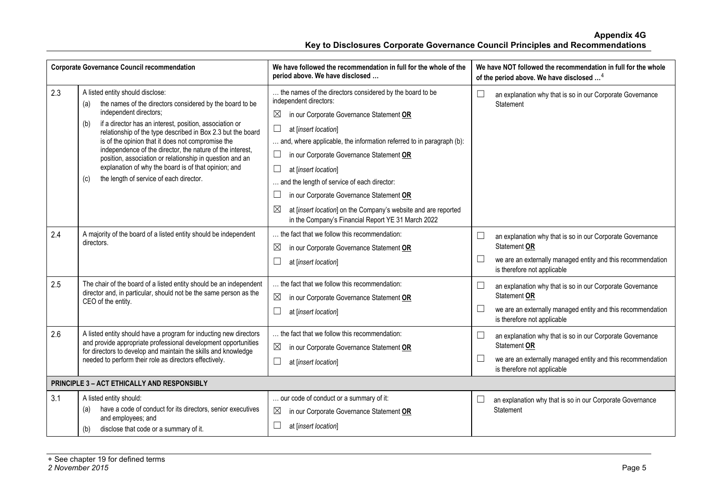| <b>Corporate Governance Council recommendation</b> |                                                                                                                                                                                                                                                                                                                                                                                                                                                                                                                                                        | We have followed the recommendation in full for the whole of the<br>period above. We have disclosed                                                                                                                                                                                                                                                                                                                                                                                                                                                           | We have NOT followed the recommendation in full for the whole<br>of the period above. We have disclosed <sup>4</sup>                                                                        |
|----------------------------------------------------|--------------------------------------------------------------------------------------------------------------------------------------------------------------------------------------------------------------------------------------------------------------------------------------------------------------------------------------------------------------------------------------------------------------------------------------------------------------------------------------------------------------------------------------------------------|---------------------------------------------------------------------------------------------------------------------------------------------------------------------------------------------------------------------------------------------------------------------------------------------------------------------------------------------------------------------------------------------------------------------------------------------------------------------------------------------------------------------------------------------------------------|---------------------------------------------------------------------------------------------------------------------------------------------------------------------------------------------|
| 2.3                                                | A listed entity should disclose:<br>the names of the directors considered by the board to be<br>(a)<br>independent directors;<br>if a director has an interest, position, association or<br>(b)<br>relationship of the type described in Box 2.3 but the board<br>is of the opinion that it does not compromise the<br>independence of the director, the nature of the interest,<br>position, association or relationship in question and an<br>explanation of why the board is of that opinion; and<br>the length of service of each director.<br>(c) | the names of the directors considered by the board to be<br>independent directors:<br>$\boxtimes$<br>in our Corporate Governance Statement OR<br>$\Box$<br>at [insert location]<br>and, where applicable, the information referred to in paragraph (b):<br>in our Corporate Governance Statement OR<br>$\Box$<br>at [insert location]<br>and the length of service of each director:<br>in our Corporate Governance Statement OR<br>⊠<br>at [insert location] on the Company's website and are reported<br>in the Company's Financial Report YE 31 March 2022 | an explanation why that is so in our Corporate Governance<br>Statement                                                                                                                      |
| 2.4                                                | A majority of the board of a listed entity should be independent<br>directors.                                                                                                                                                                                                                                                                                                                                                                                                                                                                         | the fact that we follow this recommendation:<br>⊠<br>in our Corporate Governance Statement OR<br>at [insert location]                                                                                                                                                                                                                                                                                                                                                                                                                                         | an explanation why that is so in our Corporate Governance<br>Statement OR<br>we are an externally managed entity and this recommendation<br>$\Box$<br>is therefore not applicable           |
| 2.5                                                | The chair of the board of a listed entity should be an independent<br>director and, in particular, should not be the same person as the<br>CEO of the entity.                                                                                                                                                                                                                                                                                                                                                                                          | the fact that we follow this recommendation:<br>$\boxtimes$<br>in our Corporate Governance Statement OR<br>$\Box$<br>at [insert location]                                                                                                                                                                                                                                                                                                                                                                                                                     | $\Box$<br>an explanation why that is so in our Corporate Governance<br>Statement OR<br>$\Box$<br>we are an externally managed entity and this recommendation<br>is therefore not applicable |
| 2.6                                                | A listed entity should have a program for inducting new directors<br>and provide appropriate professional development opportunities<br>for directors to develop and maintain the skills and knowledge<br>needed to perform their role as directors effectively.                                                                                                                                                                                                                                                                                        | the fact that we follow this recommendation:<br>$\boxtimes$<br>in our Corporate Governance Statement OR<br>$\sqcup$<br>at [insert location]                                                                                                                                                                                                                                                                                                                                                                                                                   | an explanation why that is so in our Corporate Governance<br>⊔<br>Statement OR<br>$\Box$<br>we are an externally managed entity and this recommendation<br>is therefore not applicable      |
| PRINCIPLE 3 - ACT ETHICALLY AND RESPONSIBLY        |                                                                                                                                                                                                                                                                                                                                                                                                                                                                                                                                                        |                                                                                                                                                                                                                                                                                                                                                                                                                                                                                                                                                               |                                                                                                                                                                                             |
| 3.1                                                | A listed entity should:<br>have a code of conduct for its directors, senior executives<br>(a)<br>and employees; and<br>disclose that code or a summary of it.<br>(b)                                                                                                                                                                                                                                                                                                                                                                                   | our code of conduct or a summary of it:<br>$\boxtimes$<br>in our Corporate Governance Statement OR<br>at [insert location]                                                                                                                                                                                                                                                                                                                                                                                                                                    | an explanation why that is so in our Corporate Governance<br>Statement                                                                                                                      |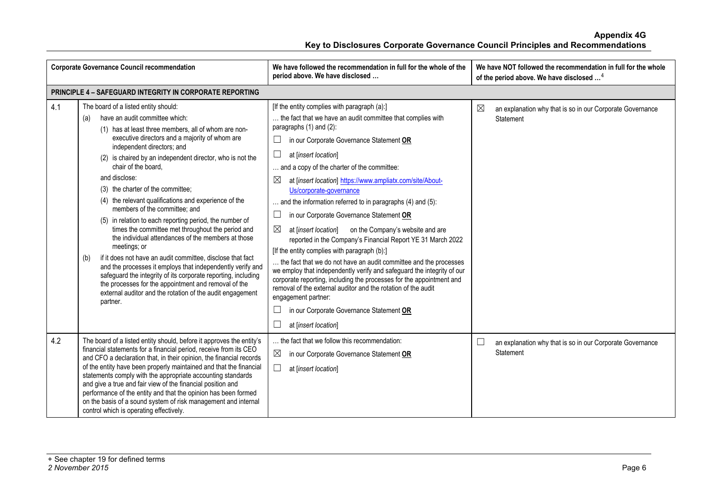| <b>Corporate Governance Council recommendation</b> |                                                                                                                                                                                                                                                                                                                                                                                                                                                                                                                                                                                                                                                                                                                                                                                                                                                                                                                                                                                      | We have followed the recommendation in full for the whole of the<br>period above. We have disclosed                                                                                                                                                                                                                                                                                                                                                                                                                                                                                                                                                                                                                                                                                                                                                                                                                                                                                                                                        | We have NOT followed the recommendation in full for the whole<br>of the period above. We have disclosed <sup>4</sup> |
|----------------------------------------------------|--------------------------------------------------------------------------------------------------------------------------------------------------------------------------------------------------------------------------------------------------------------------------------------------------------------------------------------------------------------------------------------------------------------------------------------------------------------------------------------------------------------------------------------------------------------------------------------------------------------------------------------------------------------------------------------------------------------------------------------------------------------------------------------------------------------------------------------------------------------------------------------------------------------------------------------------------------------------------------------|--------------------------------------------------------------------------------------------------------------------------------------------------------------------------------------------------------------------------------------------------------------------------------------------------------------------------------------------------------------------------------------------------------------------------------------------------------------------------------------------------------------------------------------------------------------------------------------------------------------------------------------------------------------------------------------------------------------------------------------------------------------------------------------------------------------------------------------------------------------------------------------------------------------------------------------------------------------------------------------------------------------------------------------------|----------------------------------------------------------------------------------------------------------------------|
|                                                    | <b>PRINCIPLE 4 - SAFEGUARD INTEGRITY IN CORPORATE REPORTING</b>                                                                                                                                                                                                                                                                                                                                                                                                                                                                                                                                                                                                                                                                                                                                                                                                                                                                                                                      |                                                                                                                                                                                                                                                                                                                                                                                                                                                                                                                                                                                                                                                                                                                                                                                                                                                                                                                                                                                                                                            |                                                                                                                      |
| 4.1                                                | The board of a listed entity should:<br>have an audit committee which:<br>(a)<br>(1) has at least three members, all of whom are non-<br>executive directors and a majority of whom are<br>independent directors; and<br>(2) is chaired by an independent director, who is not the<br>chair of the board,<br>and disclose:<br>(3) the charter of the committee;<br>(4) the relevant qualifications and experience of the<br>members of the committee; and<br>(5) in relation to each reporting period, the number of<br>times the committee met throughout the period and<br>the individual attendances of the members at those<br>meetings; or<br>if it does not have an audit committee, disclose that fact<br>(b)<br>and the processes it employs that independently verify and<br>safeguard the integrity of its corporate reporting, including<br>the processes for the appointment and removal of the<br>external auditor and the rotation of the audit engagement<br>partner. | [If the entity complies with paragraph (a):]<br>the fact that we have an audit committee that complies with<br>paragraphs (1) and (2):<br>in our Corporate Governance Statement OR<br>at [insert location]<br>and a copy of the charter of the committee:<br>⊠<br>at [insert location] https://www.ampliatx.com/site/About-<br>Us/corporate-governance<br>and the information referred to in paragraphs (4) and (5):<br>$\Box$<br>in our Corporate Governance Statement OR<br>⊠<br>at [insert location] on the Company's website and are<br>reported in the Company's Financial Report YE 31 March 2022<br>[If the entity complies with paragraph (b):]<br>the fact that we do not have an audit committee and the processes<br>we employ that independently verify and safeguard the integrity of our<br>corporate reporting, including the processes for the appointment and<br>removal of the external auditor and the rotation of the audit<br>engagement partner:<br>in our Corporate Governance Statement OR<br>at [insert location] | $\boxtimes$<br>an explanation why that is so in our Corporate Governance<br>Statement                                |
| 4.2                                                | The board of a listed entity should, before it approves the entity's<br>financial statements for a financial period, receive from its CEO<br>and CFO a declaration that, in their opinion, the financial records<br>of the entity have been properly maintained and that the financial<br>statements comply with the appropriate accounting standards<br>and give a true and fair view of the financial position and<br>performance of the entity and that the opinion has been formed<br>on the basis of a sound system of risk management and internal<br>control which is operating effectively.                                                                                                                                                                                                                                                                                                                                                                                  | the fact that we follow this recommendation:<br>$\boxtimes$<br>in our Corporate Governance Statement OR<br>at [insert location]                                                                                                                                                                                                                                                                                                                                                                                                                                                                                                                                                                                                                                                                                                                                                                                                                                                                                                            | $\Box$<br>an explanation why that is so in our Corporate Governance<br>Statement                                     |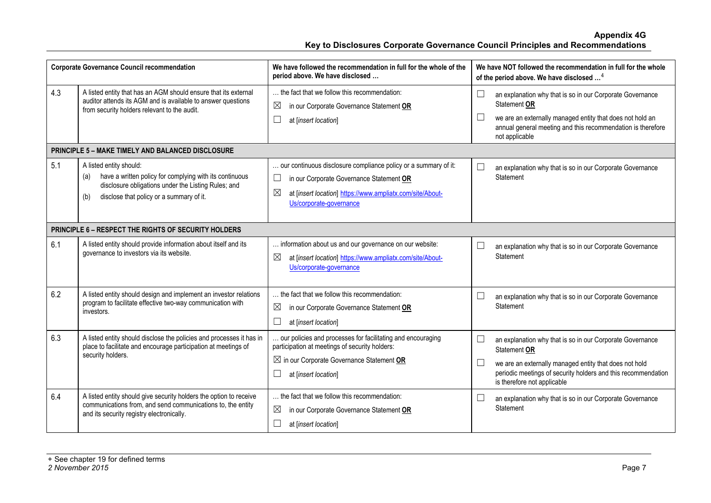| <b>Corporate Governance Council recommendation</b> |                                                                                                                                                                                                                                   | We have followed the recommendation in full for the whole of the<br>period above. We have disclosed                                                                                                                                                       |                  | We have NOT followed the recommendation in full for the whole<br>of the period above. We have disclosed <sup>4</sup>                                                                                                                                                                             |
|----------------------------------------------------|-----------------------------------------------------------------------------------------------------------------------------------------------------------------------------------------------------------------------------------|-----------------------------------------------------------------------------------------------------------------------------------------------------------------------------------------------------------------------------------------------------------|------------------|--------------------------------------------------------------------------------------------------------------------------------------------------------------------------------------------------------------------------------------------------------------------------------------------------|
| 4.3                                                | A listed entity that has an AGM should ensure that its external<br>auditor attends its AGM and is available to answer questions<br>from security holders relevant to the audit.                                                   | the fact that we follow this recommendation:<br>$\boxtimes$<br>in our Corporate Governance Statement OR<br>$\Box$<br>at [insert location]                                                                                                                 | ⊔<br>⊔           | an explanation why that is so in our Corporate Governance<br>Statement OR<br>we are an externally managed entity that does not hold an<br>annual general meeting and this recommendation is therefore<br>not applicable                                                                          |
|                                                    | <b>PRINCIPLE 5 - MAKE TIMELY AND BALANCED DISCLOSURE</b>                                                                                                                                                                          |                                                                                                                                                                                                                                                           |                  |                                                                                                                                                                                                                                                                                                  |
| 5.1                                                | A listed entity should:<br>have a written policy for complying with its continuous<br>(a)<br>disclosure obligations under the Listing Rules; and<br>disclose that policy or a summary of it.<br>(b)                               | our continuous disclosure compliance policy or a summary of it:<br>$\Box$<br>in our Corporate Governance Statement OR<br>⊠<br>at [insert location] https://www.ampliatx.com/site/About-<br>Us/corporate-governance                                        | $\Box$           | an explanation why that is so in our Corporate Governance<br>Statement                                                                                                                                                                                                                           |
|                                                    | <b>PRINCIPLE 6 - RESPECT THE RIGHTS OF SECURITY HOLDERS</b>                                                                                                                                                                       |                                                                                                                                                                                                                                                           |                  |                                                                                                                                                                                                                                                                                                  |
| 6.1                                                | A listed entity should provide information about itself and its<br>governance to investors via its website.                                                                                                                       | information about us and our governance on our website:<br>$\boxtimes$<br>at [insert location] https://www.ampliatx.com/site/About-<br>Us/corporate-governance                                                                                            | $\Box$           | an explanation why that is so in our Corporate Governance<br>Statement                                                                                                                                                                                                                           |
| 6.2                                                | A listed entity should design and implement an investor relations<br>program to facilitate effective two-way communication with<br>investors.                                                                                     | the fact that we follow this recommendation:<br>$\boxtimes$<br>in our Corporate Governance Statement OR<br>$\Box$<br>at [insert location]                                                                                                                 | $\Box$           | an explanation why that is so in our Corporate Governance<br>Statement                                                                                                                                                                                                                           |
| 6.3<br>6.4                                         | A listed entity should disclose the policies and processes it has in<br>place to facilitate and encourage participation at meetings of<br>security holders.<br>A listed entity should give security holders the option to receive | . our policies and processes for facilitating and encouraging<br>participation at meetings of security holders:<br>$\boxtimes$ in our Corporate Governance Statement OR<br>$\Box$<br>at [insert location]<br>the fact that we follow this recommendation: | $\Box$<br>⊔<br>⊔ | an explanation why that is so in our Corporate Governance<br>Statement OR<br>we are an externally managed entity that does not hold<br>periodic meetings of security holders and this recommendation<br>is therefore not applicable<br>an explanation why that is so in our Corporate Governance |
|                                                    | communications from, and send communications to, the entity<br>and its security registry electronically.                                                                                                                          | $\boxtimes$<br>in our Corporate Governance Statement OR<br>$\Box$<br>at [insert location]                                                                                                                                                                 |                  | Statement                                                                                                                                                                                                                                                                                        |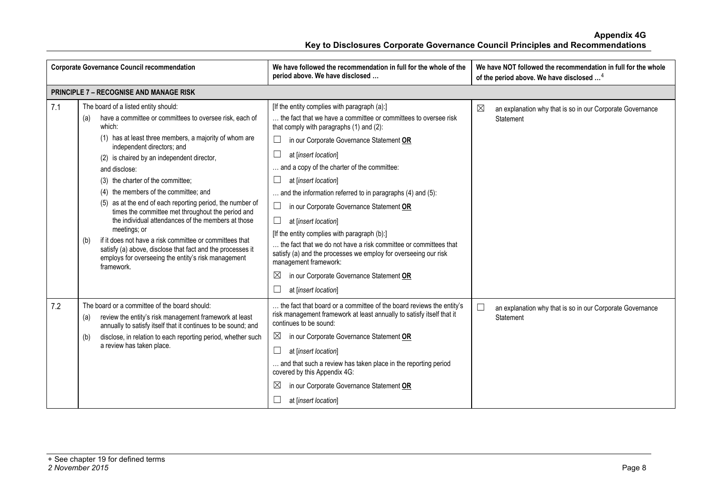| <b>Corporate Governance Council recommendation</b> |                                                                                                                                                                                                                                                                                                                                                                                                                                                                                                                                                                                                                                                                                                                                                    | We have followed the recommendation in full for the whole of the<br>period above. We have disclosed                                                                                                                                                                                                                                                                                                                                                                                                                                                                                                                                                                                                                                          | We have NOT followed the recommendation in full for the whole<br>of the period above. We have disclosed <sup>4</sup> |  |
|----------------------------------------------------|----------------------------------------------------------------------------------------------------------------------------------------------------------------------------------------------------------------------------------------------------------------------------------------------------------------------------------------------------------------------------------------------------------------------------------------------------------------------------------------------------------------------------------------------------------------------------------------------------------------------------------------------------------------------------------------------------------------------------------------------------|----------------------------------------------------------------------------------------------------------------------------------------------------------------------------------------------------------------------------------------------------------------------------------------------------------------------------------------------------------------------------------------------------------------------------------------------------------------------------------------------------------------------------------------------------------------------------------------------------------------------------------------------------------------------------------------------------------------------------------------------|----------------------------------------------------------------------------------------------------------------------|--|
|                                                    | <b>PRINCIPLE 7 - RECOGNISE AND MANAGE RISK</b>                                                                                                                                                                                                                                                                                                                                                                                                                                                                                                                                                                                                                                                                                                     |                                                                                                                                                                                                                                                                                                                                                                                                                                                                                                                                                                                                                                                                                                                                              |                                                                                                                      |  |
| 7.1                                                | The board of a listed entity should:<br>have a committee or committees to oversee risk, each of<br>(a)<br>which:<br>(1) has at least three members, a majority of whom are<br>independent directors; and<br>(2) is chaired by an independent director,<br>and disclose:<br>(3) the charter of the committee;<br>(4) the members of the committee; and<br>(5) as at the end of each reporting period, the number of<br>times the committee met throughout the period and<br>the individual attendances of the members at those<br>meetings; or<br>if it does not have a risk committee or committees that<br>(b)<br>satisfy (a) above, disclose that fact and the processes it<br>employs for overseeing the entity's risk management<br>framework. | [If the entity complies with paragraph (a):]<br>the fact that we have a committee or committees to oversee risk<br>that comply with paragraphs (1) and (2):<br>in our Corporate Governance Statement OR<br>$\Box$<br>at [insert location]<br>and a copy of the charter of the committee:<br>at [insert location]<br>and the information referred to in paragraphs (4) and (5):<br>$\Box$<br>in our Corporate Governance Statement OR<br>at [insert location]<br>ப<br>[If the entity complies with paragraph (b):]<br>the fact that we do not have a risk committee or committees that<br>satisfy (a) and the processes we employ for overseeing our risk<br>management framework:<br>$\boxtimes$<br>in our Corporate Governance Statement OR | ⊠<br>an explanation why that is so in our Corporate Governance<br>Statement                                          |  |
| 7.2                                                | The board or a committee of the board should:<br>review the entity's risk management framework at least<br>(a)<br>annually to satisfy itself that it continues to be sound; and<br>disclose, in relation to each reporting period, whether such<br>(b)<br>a review has taken place.                                                                                                                                                                                                                                                                                                                                                                                                                                                                | at [insert location]<br>the fact that board or a committee of the board reviews the entity's<br>risk management framework at least annually to satisfy itself that it<br>continues to be sound:<br>$\boxtimes$<br>in our Corporate Governance Statement OR<br>at [insert location]<br>and that such a review has taken place in the reporting period<br>covered by this Appendix 4G:<br>$\boxtimes$<br>in our Corporate Governance Statement OR<br>at [insert location]                                                                                                                                                                                                                                                                      | $\Box$<br>an explanation why that is so in our Corporate Governance<br>Statement                                     |  |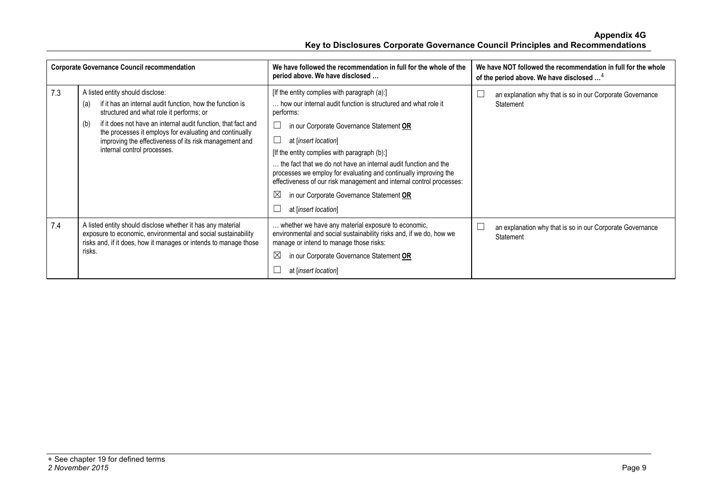| <b>Corporate Governance Council recommendation</b> |                                                                                                                                                                                                                                                                                                                                                                              | We have followed the recommendation in full for the whole of the<br>period above. We have disclosed                                                                                                                                                                                                                                                                                                                                                                                                                                               | We have NOT followed the recommendation in full for the whole<br>of the period above. We have disclosed <sup>4</sup> |
|----------------------------------------------------|------------------------------------------------------------------------------------------------------------------------------------------------------------------------------------------------------------------------------------------------------------------------------------------------------------------------------------------------------------------------------|---------------------------------------------------------------------------------------------------------------------------------------------------------------------------------------------------------------------------------------------------------------------------------------------------------------------------------------------------------------------------------------------------------------------------------------------------------------------------------------------------------------------------------------------------|----------------------------------------------------------------------------------------------------------------------|
| 7.3                                                | A listed entity should disclose:<br>if it has an internal audit function, how the function is<br>(a)<br>structured and what role it performs; or<br>if it does not have an internal audit function, that fact and<br>(b)<br>the processes it employs for evaluating and continually<br>improving the effectiveness of its risk management and<br>internal control processes. | [If the entity complies with paragraph (a):]<br>how our internal audit function is structured and what role it<br>performs:<br>in our Corporate Governance Statement OR<br>at [insert location]<br>[If the entity complies with paragraph (b):]<br>the fact that we do not have an internal audit function and the<br>processes we employ for evaluating and continually improving the<br>effectiveness of our risk management and internal control processes:<br>$\boxtimes$<br>in our Corporate Governance Statement OR<br>at [insert location] | an explanation why that is so in our Corporate Governance<br>Statement                                               |
| 7.4                                                | A listed entity should disclose whether it has any material<br>exposure to economic, environmental and social sustainability<br>risks and, if it does, how it manages or intends to manage those<br>risks.                                                                                                                                                                   | whether we have any material exposure to economic,<br>environmental and social sustainability risks and, if we do, how we<br>manage or intend to manage those risks:<br>⊠<br>in our Corporate Governance Statement OR<br>at [insert location]                                                                                                                                                                                                                                                                                                     | an explanation why that is so in our Corporate Governance<br>Statement                                               |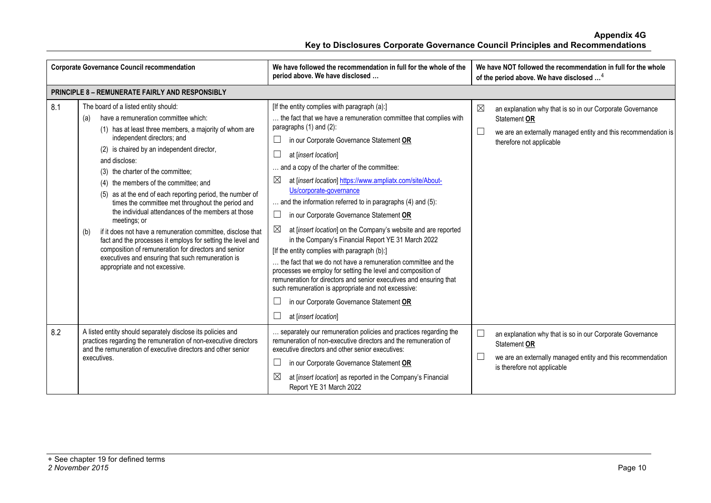| <b>Corporate Governance Council recommendation</b> |                                                                                                                                                                                                                                                                                                                                                                                                                                                                                                                                                                                                                                                                                                                                                                                                      | We have followed the recommendation in full for the whole of the<br>period above. We have disclosed                                                                                                                                                                                                                                                                                                                                                                                                                                                                                                                                                                                                                                                                                                                                                                                                                                                                                                     | We have NOT followed the recommendation in full for the whole<br>of the period above. We have disclosed <sup>4</sup>                                                                             |  |
|----------------------------------------------------|------------------------------------------------------------------------------------------------------------------------------------------------------------------------------------------------------------------------------------------------------------------------------------------------------------------------------------------------------------------------------------------------------------------------------------------------------------------------------------------------------------------------------------------------------------------------------------------------------------------------------------------------------------------------------------------------------------------------------------------------------------------------------------------------------|---------------------------------------------------------------------------------------------------------------------------------------------------------------------------------------------------------------------------------------------------------------------------------------------------------------------------------------------------------------------------------------------------------------------------------------------------------------------------------------------------------------------------------------------------------------------------------------------------------------------------------------------------------------------------------------------------------------------------------------------------------------------------------------------------------------------------------------------------------------------------------------------------------------------------------------------------------------------------------------------------------|--------------------------------------------------------------------------------------------------------------------------------------------------------------------------------------------------|--|
|                                                    | <b>PRINCIPLE 8 - REMUNERATE FAIRLY AND RESPONSIBLY</b>                                                                                                                                                                                                                                                                                                                                                                                                                                                                                                                                                                                                                                                                                                                                               |                                                                                                                                                                                                                                                                                                                                                                                                                                                                                                                                                                                                                                                                                                                                                                                                                                                                                                                                                                                                         |                                                                                                                                                                                                  |  |
| 8.1                                                | The board of a listed entity should:<br>have a remuneration committee which:<br>(a)<br>(1) has at least three members, a majority of whom are<br>independent directors; and<br>(2) is chaired by an independent director,<br>and disclose:<br>(3) the charter of the committee;<br>(4) the members of the committee; and<br>(5) as at the end of each reporting period, the number of<br>times the committee met throughout the period and<br>the individual attendances of the members at those<br>meetings; or<br>if it does not have a remuneration committee, disclose that<br>(b)<br>fact and the processes it employs for setting the level and<br>composition of remuneration for directors and senior<br>executives and ensuring that such remuneration is<br>appropriate and not excessive. | [If the entity complies with paragraph (a):]<br>the fact that we have a remuneration committee that complies with<br>paragraphs $(1)$ and $(2)$ :<br>in our Corporate Governance Statement OR<br>at linsert location<br>and a copy of the charter of the committee:<br>⊠<br>at [insert location] https://www.ampliatx.com/site/About-<br>Us/corporate-governance<br>$\ldots$ and the information referred to in paragraphs (4) and (5):<br>$\Box$<br>in our Corporate Governance Statement OR<br>at [insert location] on the Company's website and are reported<br>in the Company's Financial Report YE 31 March 2022<br>[If the entity complies with paragraph (b):]<br>the fact that we do not have a remuneration committee and the<br>processes we employ for setting the level and composition of<br>remuneration for directors and senior executives and ensuring that<br>such remuneration is appropriate and not excessive:<br>in our Corporate Governance Statement OR<br>at [insert location] | $\boxtimes$<br>an explanation why that is so in our Corporate Governance<br>Statement OR<br>$\Box$<br>we are an externally managed entity and this recommendation is<br>therefore not applicable |  |
| 8.2                                                | A listed entity should separately disclose its policies and<br>practices regarding the remuneration of non-executive directors<br>and the remuneration of executive directors and other senior<br>executives.                                                                                                                                                                                                                                                                                                                                                                                                                                                                                                                                                                                        | separately our remuneration policies and practices regarding the<br>remuneration of non-executive directors and the remuneration of<br>executive directors and other senior executives:<br>in our Corporate Governance Statement OR<br>at [insert location] as reported in the Company's Financial<br>Report YE 31 March 2022                                                                                                                                                                                                                                                                                                                                                                                                                                                                                                                                                                                                                                                                           | an explanation why that is so in our Corporate Governance<br>L<br>Statement OR<br>we are an externally managed entity and this recommendation<br>is therefore not applicable                     |  |